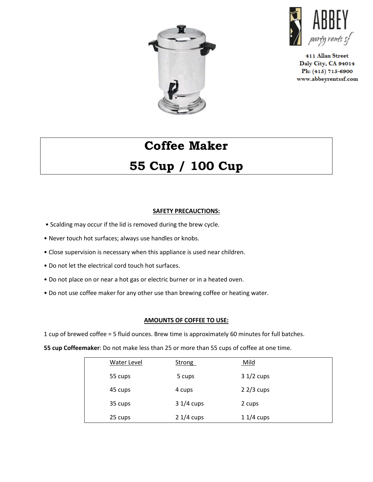



411 Allan Street Daly City, CA 94014 Ph: (415) 715-6900 www.abbeyrentssf.com

# **Coffee Maker 55 Cup / 100 Cup**

### **SAFETY PRECAUCTIONS:**

- Scalding may occur if the lid is removed during the brew cycle.
- Never touch hot surfaces; always use handles or knobs.
- Close supervision is necessary when this appliance is used near children.
- Do not let the electrical cord touch hot surfaces.
- Do not place on or near a hot gas or electric burner or in a heated oven.
- Do not use coffee maker for any other use than brewing coffee or heating water.

#### **AMOUNTS OF COFFEE TO USE:**

1 cup of brewed coffee = 5 fluid ounces. Brew time is approximately 60 minutes for full batches.

**55 cup Coffeemaker**: Do not make less than 25 or more than 55 cups of coffee at one time.

| <b>Water Level</b> | <b>Strong</b> | <u>Mild</u> |
|--------------------|---------------|-------------|
| 55 cups            | 5 cups        | $31/2$ cups |
| 45 cups            | 4 cups        | $22/3$ cups |
| 35 cups            | $31/4$ cups   | 2 cups      |
| 25 cups            | $21/4$ cups   | $11/4$ cups |